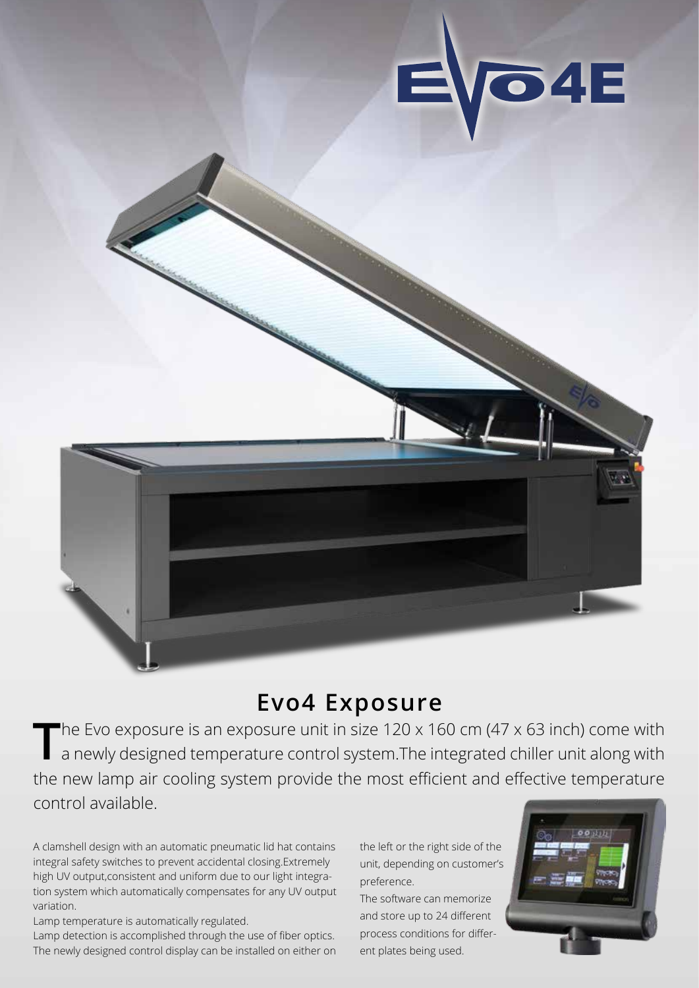

## **Evo4 Exposure**

The Evo exposure is an exposure unit in size 120 x 160 cm (47 x 63 inch) come with a newly designed temperature control system.The integrated chiller unit along with the new lamp air cooling system provide the most efficient and effective temperature control available.

A clamshell design with an automatic pneumatic lid hat contains integral safety switches to prevent accidental closing.Extremely high UV output,consistent and uniform due to our light integration system which automatically compensates for any UV output variation.

Lamp temperature is automatically regulated.

Lamp detection is accomplished through the use of fiber optics. The newly designed control display can be installed on either on the left or the right side of the unit, depending on customer's preference.

The software can memorize and store up to 24 different process conditions for different plates being used.